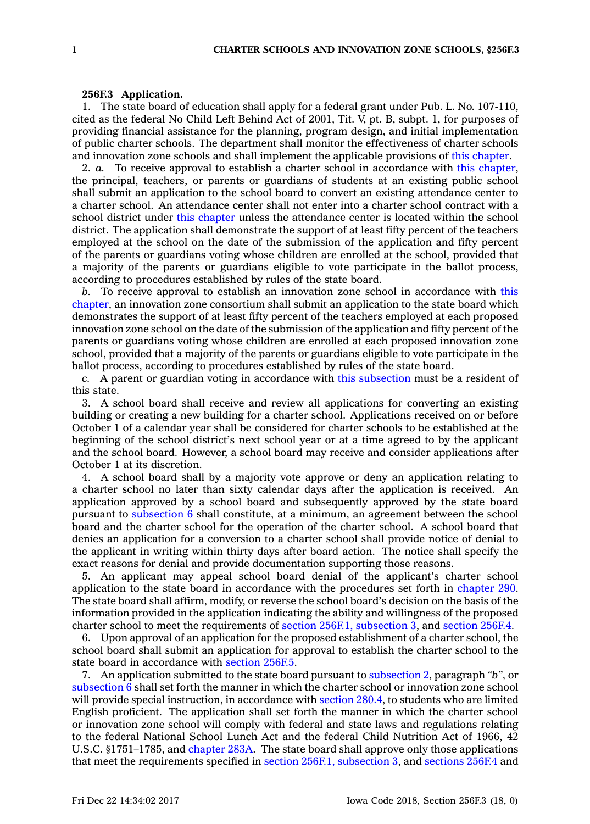## **256F.3 Application.**

1. The state board of education shall apply for <sup>a</sup> federal grant under Pub. L. No. 107-110, cited as the federal No Child Left Behind Act of 2001, Tit. V, pt. B, subpt. 1, for purposes of providing financial assistance for the planning, program design, and initial implementation of public charter schools. The department shall monitor the effectiveness of charter schools and innovation zone schools and shall implement the applicable provisions of this [chapter](https://www.legis.iowa.gov/docs/code//256F.pdf).

2. *a.* To receive approval to establish <sup>a</sup> charter school in accordance with this [chapter](https://www.legis.iowa.gov/docs/code//256F.pdf), the principal, teachers, or parents or guardians of students at an existing public school shall submit an application to the school board to convert an existing attendance center to <sup>a</sup> charter school. An attendance center shall not enter into <sup>a</sup> charter school contract with <sup>a</sup> school district under this [chapter](https://www.legis.iowa.gov/docs/code//256F.pdf) unless the attendance center is located within the school district. The application shall demonstrate the support of at least fifty percent of the teachers employed at the school on the date of the submission of the application and fifty percent of the parents or guardians voting whose children are enrolled at the school, provided that <sup>a</sup> majority of the parents or guardians eligible to vote participate in the ballot process, according to procedures established by rules of the state board.

*b.* To receive approval to establish an innovation zone school in accordance with [this](https://www.legis.iowa.gov/docs/code//256F.pdf) [chapter](https://www.legis.iowa.gov/docs/code//256F.pdf), an innovation zone consortium shall submit an application to the state board which demonstrates the support of at least fifty percent of the teachers employed at each proposed innovation zone school on the date of the submission of the application and fifty percent of the parents or guardians voting whose children are enrolled at each proposed innovation zone school, provided that <sup>a</sup> majority of the parents or guardians eligible to vote participate in the ballot process, according to procedures established by rules of the state board.

*c.* A parent or guardian voting in accordance with this [subsection](https://www.legis.iowa.gov/docs/code/256F.3.pdf) must be <sup>a</sup> resident of this state.

3. A school board shall receive and review all applications for converting an existing building or creating <sup>a</sup> new building for <sup>a</sup> charter school. Applications received on or before October 1 of <sup>a</sup> calendar year shall be considered for charter schools to be established at the beginning of the school district's next school year or at <sup>a</sup> time agreed to by the applicant and the school board. However, <sup>a</sup> school board may receive and consider applications after October 1 at its discretion.

4. A school board shall by <sup>a</sup> majority vote approve or deny an application relating to <sup>a</sup> charter school no later than sixty calendar days after the application is received. An application approved by <sup>a</sup> school board and subsequently approved by the state board pursuant to [subsection](https://www.legis.iowa.gov/docs/code/256F.3.pdf) 6 shall constitute, at <sup>a</sup> minimum, an agreement between the school board and the charter school for the operation of the charter school. A school board that denies an application for <sup>a</sup> conversion to <sup>a</sup> charter school shall provide notice of denial to the applicant in writing within thirty days after board action. The notice shall specify the exact reasons for denial and provide documentation supporting those reasons.

5. An applicant may appeal school board denial of the applicant's charter school application to the state board in accordance with the procedures set forth in [chapter](https://www.legis.iowa.gov/docs/code//290.pdf) 290. The state board shall affirm, modify, or reverse the school board's decision on the basis of the information provided in the application indicating the ability and willingness of the proposed charter school to meet the requirements of section 256F.1, [subsection](https://www.legis.iowa.gov/docs/code/256F.1.pdf) 3, and [section](https://www.legis.iowa.gov/docs/code/256F.4.pdf) 256F.4.

6. Upon approval of an application for the proposed establishment of <sup>a</sup> charter school, the school board shall submit an application for approval to establish the charter school to the state board in accordance with [section](https://www.legis.iowa.gov/docs/code/256F.5.pdf) 256F.5.

7. An application submitted to the state board pursuant to [subsection](https://www.legis.iowa.gov/docs/code/256F.3.pdf) 2, paragraph *"b"*, or [subsection](https://www.legis.iowa.gov/docs/code/256F.3.pdf) 6 shall set forth the manner in which the charter school or innovation zone school will provide special instruction, in accordance with [section](https://www.legis.iowa.gov/docs/code/280.4.pdf) 280.4, to students who are limited English proficient. The application shall set forth the manner in which the charter school or innovation zone school will comply with federal and state laws and regulations relating to the federal National School Lunch Act and the federal Child Nutrition Act of 1966, 42 U.S.C. §1751–1785, and [chapter](https://www.legis.iowa.gov/docs/code//283A.pdf) 283A. The state board shall approve only those applications that meet the requirements specified in section 256F.1, [subsection](https://www.legis.iowa.gov/docs/code/256F.1.pdf) 3, and [sections](https://www.legis.iowa.gov/docs/code/256F.4.pdf) 256F.4 and